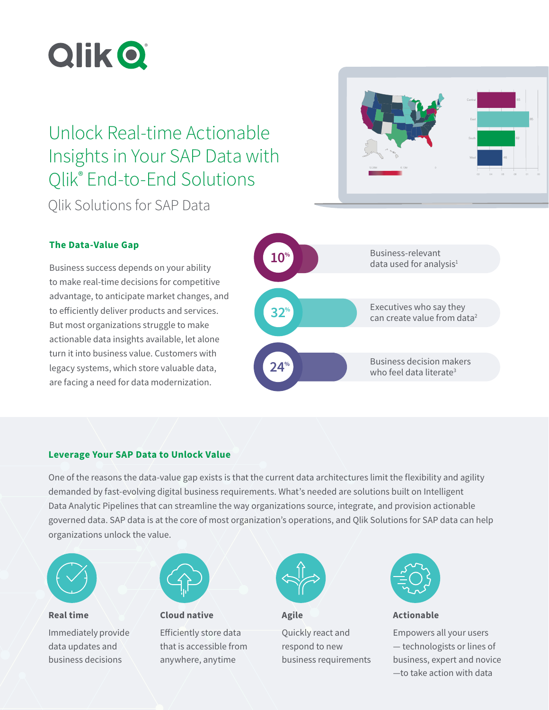

# Unlock Real-time Actionable Insights in Your SAP Data with Qlik® End-to-End Solutions Qlik Solutions for SAP Data



# **The Data-Value Gap**

Business success depends on your ability to make real-time decisions for competitive advantage, to anticipate market changes, and to efficiently deliver products and services. But most organizations struggle to make actionable data insights available, let alone turn it into business value. Customers with legacy systems, which store valuable data, are facing a need for data modernization.



## **Leverage Your SAP Data to Unlock Value**

One of the reasons the data-value gap exists is that the current data architectures limit the flexibility and agility demanded by fast-evolving digital business requirements. What's needed are solutions built on Intelligent Data Analytic Pipelines that can streamline the way organizations source, integrate, and provision actionable governed data. SAP data is at the core of most organization's operations, and Qlik Solutions for SAP data can help organizations unlock the value.



**Real time** Immediately provide data updates and business decisions



**Cloud native** Efficiently store data that is accessible from anywhere, anytime



**Agile** Quickly react and respond to new business requirements



**Actionable**

Empowers all your users — technologists or lines of business, expert and novice —to take action with data